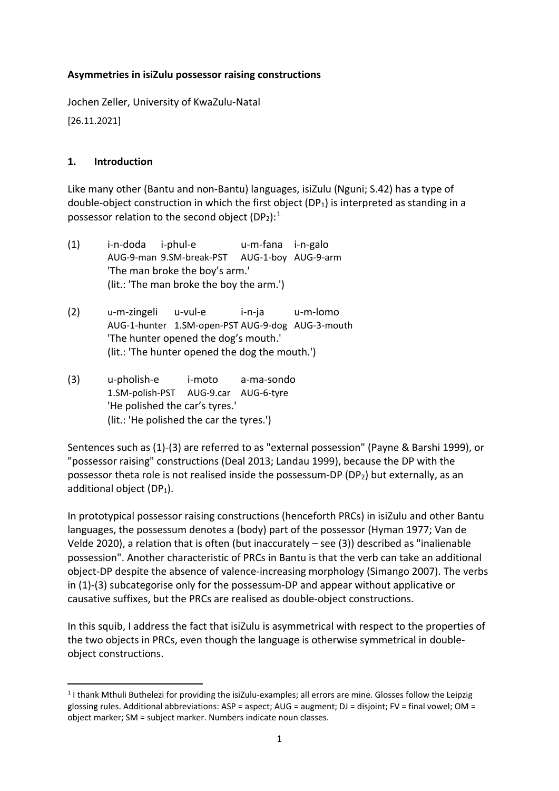### **Asymmetries in isiZulu possessor raising constructions**

Jochen Zeller, University of KwaZulu-Natal

[26.11.2021]

### **1. Introduction**

Like many other (Bantu and non-Bantu) languages, isiZulu (Nguni; S.42) has a type of double-object construction in which the first object (DP<sub>1</sub>) is interpreted as standing in a possessor relation to the second object (DP<sub>2</sub>):<sup>[1](#page-0-0)</sup>

- (1) i-n-doda i-phul-e u-m-fana i-n-galo AUG-9-man 9.SM-break-PST AUG-1-boy AUG-9-arm 'The man broke the boy's arm.' (lit.: 'The man broke the boy the arm.')
- (2) u-m-zingeli u-vul-e i-n-ja u-m-lomo AUG-1-hunter 1.SM-open-PST AUG-9-dog AUG-3-mouth 'The hunter opened the dog's mouth.' (lit.: 'The hunter opened the dog the mouth.')
- (3) u-pholish-e i-moto a-ma-sondo 1.SM-polish-PST AUG-9.car AUG-6-tyre 'He polished the car's tyres.' (lit.: 'He polished the car the tyres.')

Sentences such as (1)-(3) are referred to as "external possession" (Payne & Barshi 1999), or "possessor raising" constructions (Deal 2013; Landau 1999), because the DP with the possessor theta role is not realised inside the possessum-DP (DP<sub>2</sub>) but externally, as an additional object  $(DP_1)$ .

In prototypical possessor raising constructions (henceforth PRCs) in isiZulu and other Bantu languages, the possessum denotes a (body) part of the possessor (Hyman 1977; Van de Velde 2020), a relation that is often (but inaccurately – see (3)) described as "inalienable possession". Another characteristic of PRCs in Bantu is that the verb can take an additional object-DP despite the absence of valence-increasing morphology (Simango 2007). The verbs in (1)-(3) subcategorise only for the possessum-DP and appear without applicative or causative suffixes, but the PRCs are realised as double-object constructions.

In this squib, I address the fact that isiZulu is asymmetrical with respect to the properties of the two objects in PRCs, even though the language is otherwise symmetrical in doubleobject constructions.

<span id="page-0-0"></span> <sup>1</sup> I thank Mthuli Buthelezi for providing the isiZulu-examples; all errors are mine. Glosses follow the Leipzig glossing rules. Additional abbreviations: ASP = aspect; AUG = augment; DJ = disjoint; FV = final vowel; OM = object marker; SM = subject marker. Numbers indicate noun classes.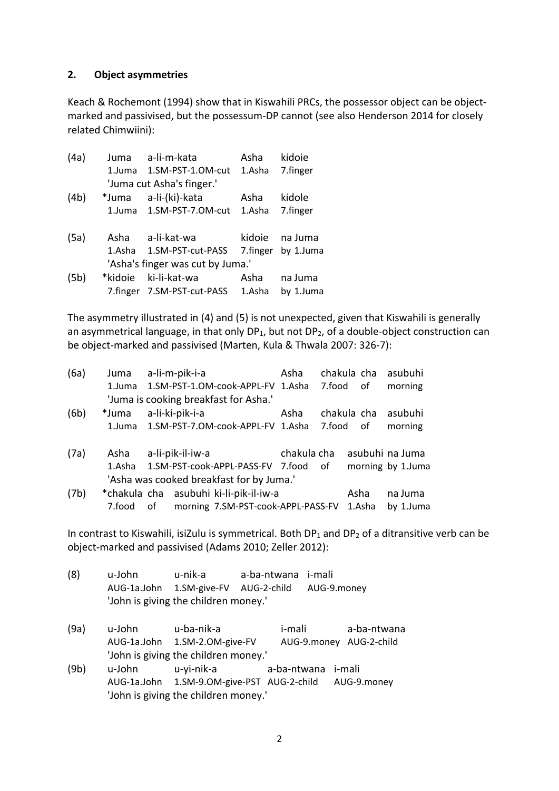### **2. Object asymmetries**

Keach & Rochemont (1994) show that in Kiswahili PRCs, the possessor object can be objectmarked and passivised, but the possessum-DP cannot (see also Henderson 2014 for closely related Chimwiini):

| (4a) | Juma    | a-li-m-kata                      | Asha   | kidoie             |
|------|---------|----------------------------------|--------|--------------------|
|      |         | 1.Juma 1.SM-PST-1.OM-cut         | 1.Asha | 7.finger           |
|      |         | 'Juma cut Asha's finger.'        |        |                    |
| (4b) |         | *Juma a-li-(ki)-kata             | Asha   | kidole             |
|      |         | 1.Juma 1.SM-PST-7.OM-cut         | 1.Asha | 7.finger           |
| (5a) | Asha    | a-li-kat-wa                      | kidoie | na Juma            |
|      |         | 1.Asha 1.SM-PST-cut-PASS         |        | 7.finger by 1.Juma |
|      |         | 'Asha's finger was cut by Juma.' |        |                    |
| (5b) | *kidoie | ki-li-kat-wa                     | Asha   | na Juma            |
|      |         | 7.finger 7.SM-PST-cut-PASS       | 1.Asha | by 1.Juma          |

The asymmetry illustrated in (4) and (5) is not unexpected, given that Kiswahili is generally an asymmetrical language, in that only  $DP_1$ , but not  $DP_2$ , of a double-object construction can be object-marked and passivised (Marten, Kula & Thwala 2007: 326-7):

| (6a) | Juma   |    | a-li-m-pik-i-a   |                                           | Asha        | chakula cha |      | asubuhi           |
|------|--------|----|------------------|-------------------------------------------|-------------|-------------|------|-------------------|
|      | 1.Juma |    |                  | 1.SM-PST-1.OM-cook-APPL-FV 1.Asha         |             | 7.food      | of   | morning           |
|      |        |    |                  | 'Juma is cooking breakfast for Asha.'     |             |             |      |                   |
| (6b) | *Juma  |    | a-li-ki-pik-i-a  |                                           | Asha        | chakula cha |      | asubuhi           |
|      | 1.Juma |    |                  | 1.SM-PST-7.OM-cook-APPL-FV 1.Asha         |             | 7.food      | οf   | morning           |
| (7a) | Asha   |    | a-li-pik-il-iw-a |                                           | chakula cha |             |      | asubuhi na Juma   |
|      | 1.Asha |    |                  | 1.SM-PST-cook-APPL-PASS-FV 7.food         |             | of          |      | morning by 1.Juma |
|      |        |    |                  | 'Asha was cooked breakfast for by Juma.'  |             |             |      |                   |
| (7b) |        |    |                  | *chakula cha asubuhi ki-li-pik-il-iw-a    |             |             | Asha | na Juma           |
|      | 7.food | of |                  | morning 7.SM-PST-cook-APPL-PASS-FV 1.Asha |             |             |      | by 1.Juma         |

In contrast to Kiswahili, isiZulu is symmetrical. Both  $DP_1$  and  $DP_2$  of a ditransitive verb can be object-marked and passivised (Adams 2010; Zeller 2012):

- (8) u-John u-nik-a a-ba-ntwana i-mali AUG-1a.John 1.SM-give-FV AUG-2-child AUG-9.money 'John is giving the children money.'
- (9a) u-John u-ba-nik-a i-mali a-ba-ntwana AUG-1a.John 1.SM-2.OM-give-FV AUG-9.money AUG-2-child 'John is giving the children money.'
- (9b) u-John u-yi-nik-a a-ba-ntwana i-mali AUG-1a.John 1.SM-9.OM-give-PST AUG-2-child AUG-9.money 'John is giving the children money.'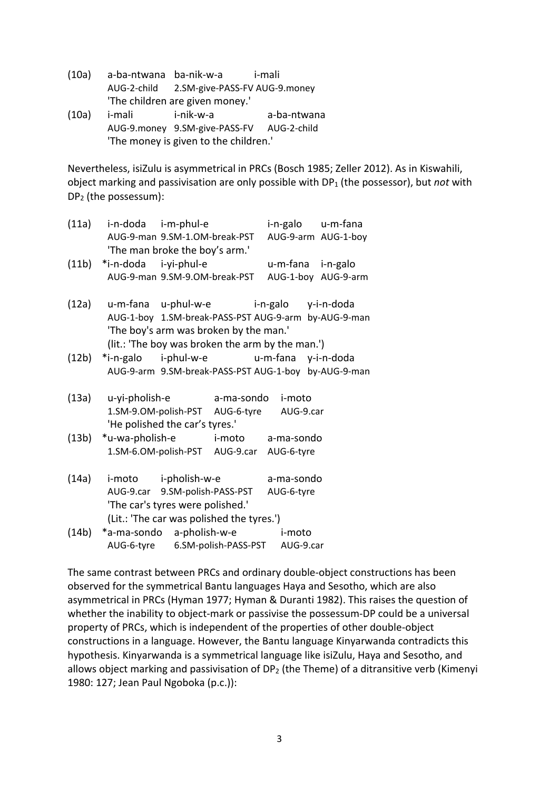- (10a) a-ba-ntwana ba-nik-w-a i-mali AUG-2-child 2.SM-give-PASS-FV AUG-9.money 'The children are given money.'
- (10a) i-mali i-nik-w-a a-ba-ntwana AUG-9.money 9.SM-give-PASS-FV AUG-2-child 'The money is given to the children.'

Nevertheless, isiZulu is asymmetrical in PRCs (Bosch 1985; Zeller 2012). As in Kiswahili, object marking and passivisation are only possible with DP1 (the possessor), but *not* with DP2 (the possessum):

| (11a) | i-n-doda i-m-phul-e                                                                            |            |                   | i-n-galo u-m-fana   |
|-------|------------------------------------------------------------------------------------------------|------------|-------------------|---------------------|
|       | AUG-9-man 9.SM-1.OM-break-PST                                                                  |            |                   | AUG-9-arm AUG-1-boy |
|       | 'The man broke the boy's arm.'                                                                 |            |                   |                     |
| (11b) | *i-n-doda i-yi-phul-e                                                                          |            | u-m-fana i-n-galo |                     |
|       | AUG-9-man 9.SM-9.OM-break-PST                                                                  |            |                   | AUG-1-boy AUG-9-arm |
| (12a) | u-m-fana u-phul-w-e i-n-galo y-i-n-doda                                                        |            |                   |                     |
|       | AUG-1-boy 1.SM-break-PASS-PST AUG-9-arm by-AUG-9-man<br>'The boy's arm was broken by the man.' |            |                   |                     |
|       | (lit.: 'The boy was broken the arm by the man.')                                               |            |                   |                     |
| (12b) | *i-n-galo i-phul-w-e u-m-fana y-i-n-doda                                                       |            |                   |                     |
|       | AUG-9-arm 9.SM-break-PASS-PST AUG-1-boy by-AUG-9-man                                           |            |                   |                     |
| (13a) | u-yi-pholish-e                                                                                 | a-ma-sondo | i-moto            |                     |
|       | 1.SM-9.OM-polish-PST AUG-6-tyre AUG-9.car                                                      |            |                   |                     |
|       | 'He polished the car's tyres.'                                                                 |            |                   |                     |
| (13b) | *u-wa-pholish-e i-moto a-ma-sondo                                                              |            |                   |                     |
|       | 1.SM-6.OM-polish-PST AUG-9.car AUG-6-tyre                                                      |            |                   |                     |
| (14a) | i-moto i-pholish-w-e                                                                           |            | a-ma-sondo        |                     |
|       | AUG-9.car 9.SM-polish-PASS-PST                                                                 |            | AUG-6-tyre        |                     |
|       | 'The car's tyres were polished.'                                                               |            |                   |                     |
|       | (Lit.: 'The car was polished the tyres.')                                                      |            |                   |                     |
| (14b) | *a-ma-sondo a-pholish-w-e i-moto                                                               |            |                   |                     |
|       | AUG-6-tyre 6.SM-polish-PASS-PST                                                                |            | AUG-9.car         |                     |

The same contrast between PRCs and ordinary double-object constructions has been observed for the symmetrical Bantu languages Haya and Sesotho, which are also asymmetrical in PRCs (Hyman 1977; Hyman & Duranti 1982). This raises the question of whether the inability to object-mark or passivise the possessum-DP could be a universal property of PRCs, which is independent of the properties of other double-object constructions in a language. However, the Bantu language Kinyarwanda contradicts this hypothesis. Kinyarwanda is a symmetrical language like isiZulu, Haya and Sesotho, and allows object marking and passivisation of  $DP_2$  (the Theme) of a ditransitive verb (Kimenyi 1980: 127; Jean Paul Ngoboka (p.c.)):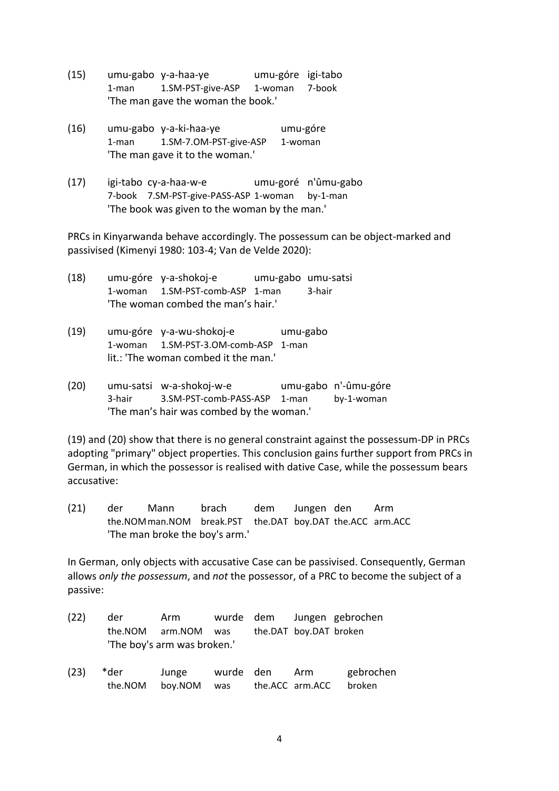- (15) umu-gabo y-a-haa-ye umu-góre igi-tabo 1-man 1.SM-PST-give-ASP 1-woman 7-book 'The man gave the woman the book.'
- (16) umu-gabo y-a-ki-haa-ye umu-góre 1-man 1.SM-7.OM-PST-give-ASP 1-woman 'The man gave it to the woman.'
- (17) igi-tabo cy-a-haa-w-e umu-goré n'ûmu-gabo 7-book 7.SM-PST-give-PASS-ASP 1-woman by-1-man 'The book was given to the woman by the man.'

PRCs in Kinyarwanda behave accordingly. The possessum can be object-marked and passivised (Kimenyi 1980: 103-4; Van de Velde 2020):

| (18) |                                    | umu-góre y-a-shokoj-e           | umu-gabo umu-satsi |        |  |  |  |
|------|------------------------------------|---------------------------------|--------------------|--------|--|--|--|
|      |                                    | 1-woman 1.SM-PST-comb-ASP 1-man |                    | 3-hair |  |  |  |
|      | 'The woman combed the man's hair.' |                                 |                    |        |  |  |  |

- (19) umu-góre y-a-wu-shokoj-e umu-gabo 1-woman 1.SM-PST-3.OM-comb-ASP 1-man lit.: 'The woman combed it the man.'
- (20) umu-satsi w-a-shokoj-w-e umu-gabo n'-ûmu-góre 3-hair 3.SM-PST-comb-PASS-ASP 1-man by-1-woman 'The man's hair was combed by the woman.'

(19) and (20) show that there is no general constraint against the possessum-DP in PRCs adopting "primary" object properties. This conclusion gains further support from PRCs in German, in which the possessor is realised with dative Case, while the possessum bears accusative:

(21) der Mann brach dem Jungen den Arm the.NOMman.NOM break.PST the.DAT boy.DAT the.ACC arm.ACC 'The man broke the boy's arm.'

In German, only objects with accusative Case can be passivised. Consequently, German allows *only the possessum*, and *not* the possessor, of a PRC to become the subject of a passive:

| (22) | der | Arm                         |  |                        | wurde dem Jungen gebrochen |
|------|-----|-----------------------------|--|------------------------|----------------------------|
|      |     | the.NOM arm.NOM was         |  | the.DAT boy.DAT broken |                            |
|      |     | 'The boy's arm was broken.' |  |                        |                            |

(23) \*der Junge wurde den Arm gebrochen the.NOM boy.NOM was the.ACC arm.ACC broken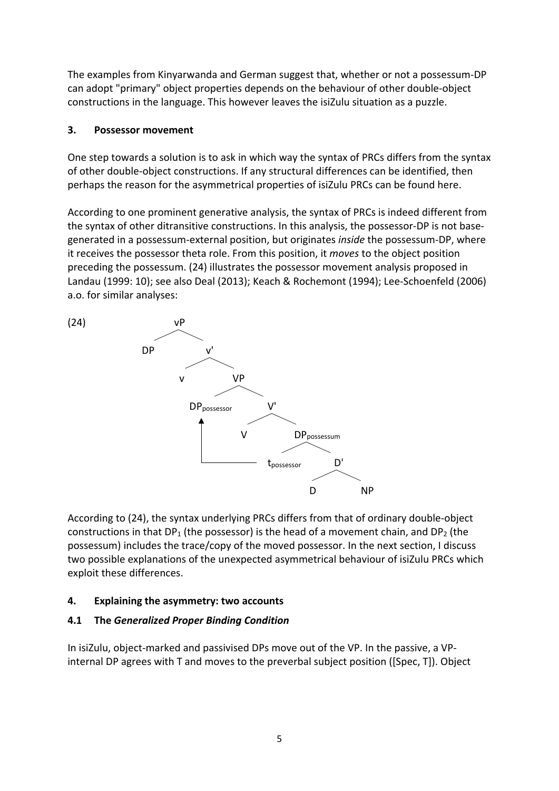The examples from Kinyarwanda and German suggest that, whether or not a possessum-DP can adopt "primary" object properties depends on the behaviour of other double-object constructions in the language. This however leaves the isiZulu situation as a puzzle.

### **3. Possessor movement**

One step towards a solution is to ask in which way the syntax of PRCs differs from the syntax of other double-object constructions. If any structural differences can be identified, then perhaps the reason for the asymmetrical properties of isiZulu PRCs can be found here.

According to one prominent generative analysis, the syntax of PRCs is indeed different from the syntax of other ditransitive constructions. In this analysis, the possessor-DP is not basegenerated in a possessum-external position, but originates *inside* the possessum-DP, where it receives the possessor theta role. From this position, it *moves* to the object position preceding the possessum. (24) illustrates the possessor movement analysis proposed in Landau (1999: 10); see also Deal (2013); Keach & Rochemont (1994); Lee-Schoenfeld (2006) a.o. for similar analyses:



According to (24), the syntax underlying PRCs differs from that of ordinary double-object constructions in that  $DP_1$  (the possessor) is the head of a movement chain, and  $DP_2$  (the possessum) includes the trace/copy of the moved possessor. In the next section, I discuss two possible explanations of the unexpected asymmetrical behaviour of isiZulu PRCs which exploit these differences.

# **4. Explaining the asymmetry: two accounts**

# **4.1 The** *Generalized Proper Binding Condition*

In isiZulu, object-marked and passivised DPs move out of the VP. In the passive, a VPinternal DP agrees with T and moves to the preverbal subject position ([Spec, T]). Object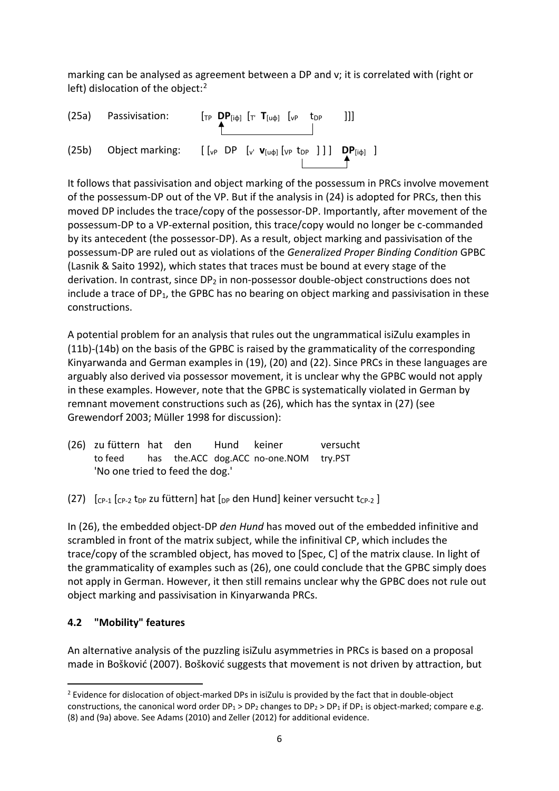marking can be analysed as agreement between a DP and v; it is correlated with (right or left) dislocation of the object:<sup>[2](#page-5-0)</sup>



It follows that passivisation and object marking of the possessum in PRCs involve movement of the possessum-DP out of the VP. But if the analysis in (24) is adopted for PRCs, then this moved DP includes the trace/copy of the possessor-DP. Importantly, after movement of the possessum-DP to a VP-external position, this trace/copy would no longer be c-commanded by its antecedent (the possessor-DP). As a result, object marking and passivisation of the possessum-DP are ruled out as violations of the *Generalized Proper Binding Condition* GPBC (Lasnik & Saito 1992), which states that traces must be bound at every stage of the derivation. In contrast, since  $DP<sub>2</sub>$  in non-possessor double-object constructions does not include a trace of  $DP_1$ , the GPBC has no bearing on object marking and passivisation in these constructions.

A potential problem for an analysis that rules out the ungrammatical isiZulu examples in (11b)-(14b) on the basis of the GPBC is raised by the grammaticality of the corresponding Kinyarwanda and German examples in (19), (20) and (22). Since PRCs in these languages are arguably also derived via possessor movement, it is unclear why the GPBC would not apply in these examples. However, note that the GPBC is systematically violated in German by remnant movement constructions such as (26), which has the syntax in (27) (see Grewendorf 2003; Müller 1998 for discussion):

| (26) zu füttern hat den         |  | Hund keiner |                                                | versucht |
|---------------------------------|--|-------------|------------------------------------------------|----------|
|                                 |  |             | to feed has the ACC dog.ACC no-one.NOM try.PST |          |
| 'No one tried to feed the dog.' |  |             |                                                |          |

(27)  $\int_{CP-1}^{\infty}$   $\int_{CP-2}^{\infty}$  t<sub>DP</sub> zu füttern] hat  $\int_{DP}$  den Hund] keiner versucht t<sub>CP-2</sub> ]

In (26), the embedded object-DP *den Hund* has moved out of the embedded infinitive and scrambled in front of the matrix subject, while the infinitival CP, which includes the trace/copy of the scrambled object, has moved to [Spec, C] of the matrix clause. In light of the grammaticality of examples such as (26), one could conclude that the GPBC simply does not apply in German. However, it then still remains unclear why the GPBC does not rule out object marking and passivisation in Kinyarwanda PRCs.

# **4.2 "Mobility" features**

An alternative analysis of the puzzling isiZulu asymmetries in PRCs is based on a proposal made in Bošković (2007). Bošković suggests that movement is not driven by attraction, but

<span id="page-5-0"></span><sup>&</sup>lt;sup>2</sup> Evidence for dislocation of object-marked DPs in isiZulu is provided by the fact that in double-object constructions, the canonical word order  $DP_1 > DP_2$  changes to  $DP_2 > DP_1$  if  $DP_1$  is object-marked; compare e.g. (8) and (9a) above. See Adams (2010) and Zeller (2012) for additional evidence.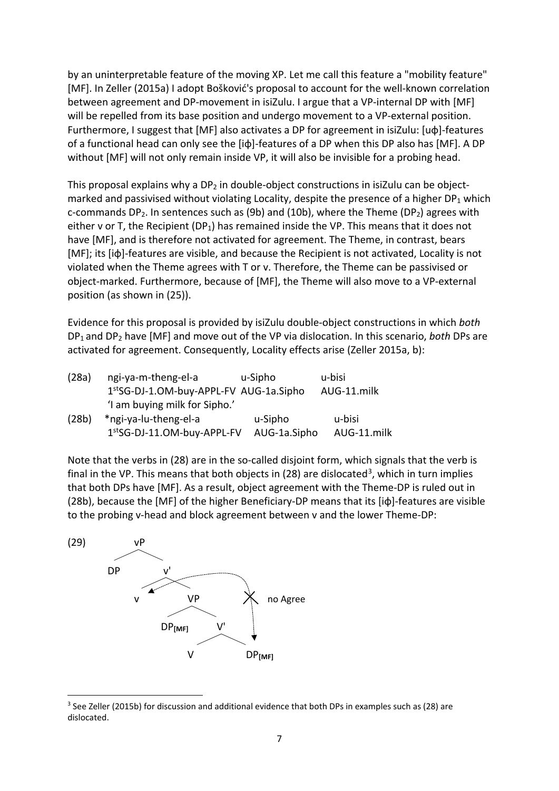by an uninterpretable feature of the moving XP. Let me call this feature a "mobility feature" [MF]. In Zeller (2015a) I adopt Bošković's proposal to account for the well-known correlation between agreement and DP-movement in isiZulu. I argue that a VP-internal DP with [MF] will be repelled from its base position and undergo movement to a VP-external position. Furthermore, I suggest that [MF] also activates a DP for agreement in isiZulu: [uφ]-features of a functional head can only see the [iφ]-features of a DP when this DP also has [MF]. A DP without [MF] will not only remain inside VP, it will also be invisible for a probing head.

This proposal explains why a  $DP<sub>2</sub>$  in double-object constructions in isiZulu can be objectmarked and passivised without violating Locality, despite the presence of a higher  $DP_1$  which c-commands DP<sub>2</sub>. In sentences such as (9b) and (10b), where the Theme (DP<sub>2</sub>) agrees with either v or T, the Recipient (DP<sub>1</sub>) has remained inside the VP. This means that it does not have [MF], and is therefore not activated for agreement. The Theme, in contrast, bears [MF]; its [iφ]-features are visible, and because the Recipient is not activated, Locality is not violated when the Theme agrees with T or v. Therefore, the Theme can be passivised or object-marked. Furthermore, because of [MF], the Theme will also move to a VP-external position (as shown in (25)).

Evidence for this proposal is provided by isiZulu double-object constructions in which *both* DP1 and DP2 have [MF] and move out of the VP via dislocation. In this scenario, *both* DPs are activated for agreement. Consequently, Locality effects arise (Zeller 2015a, b):

| (28a) | ngi-ya-m-theng-el-a                    | u-Sipho      | u-bisi      |  |
|-------|----------------------------------------|--------------|-------------|--|
|       | 1stSG-DJ-1.OM-buy-APPL-FV AUG-1a.Sipho |              | AUG-11.milk |  |
|       | 'I am buying milk for Sipho.'          |              |             |  |
| (28b) | *ngi-ya-lu-theng-el-a                  | u-Sipho      | u-bisi      |  |
|       | 1stSG-DJ-11.OM-buy-APPL-FV             | AUG-1a.Sipho | AUG-11.milk |  |

Note that the verbs in (28) are in the so-called disjoint form, which signals that the verb is final in the VP. This means that both objects in (28) are dislocated<sup>[3](#page-6-0)</sup>, which in turn implies that both DPs have [MF]. As a result, object agreement with the Theme-DP is ruled out in (28b), because the [MF] of the higher Beneficiary-DP means that its [iφ]-features are visible to the probing v-head and block agreement between v and the lower Theme-DP:



<span id="page-6-0"></span><sup>&</sup>lt;sup>3</sup> See Zeller (2015b) for discussion and additional evidence that both DPs in examples such as (28) are dislocated.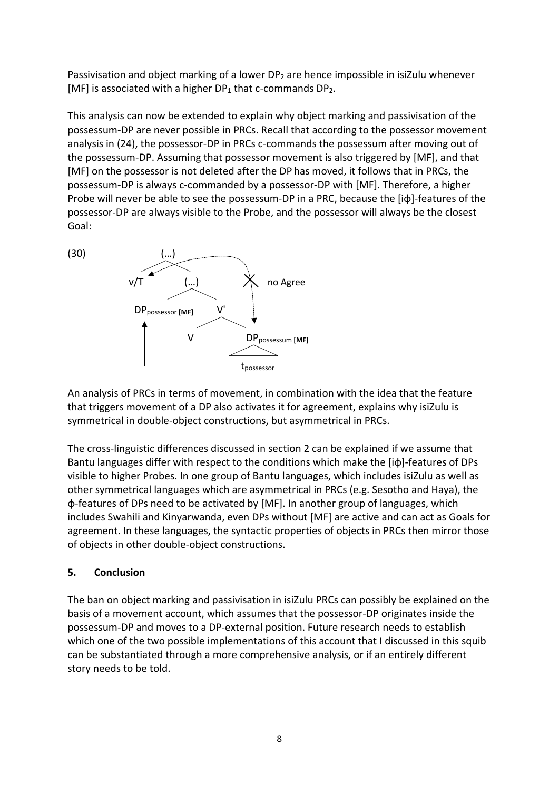Passivisation and object marking of a lower DP<sub>2</sub> are hence impossible in isiZulu whenever [MF] is associated with a higher  $DP_1$  that c-commands  $DP_2$ .

This analysis can now be extended to explain why object marking and passivisation of the possessum-DP are never possible in PRCs. Recall that according to the possessor movement analysis in (24), the possessor-DP in PRCs c-commands the possessum after moving out of the possessum-DP. Assuming that possessor movement is also triggered by [MF], and that [MF] on the possessor is not deleted after the DP has moved, it follows that in PRCs, the possessum-DP is always c-commanded by a possessor-DP with [MF]. Therefore, a higher Probe will never be able to see the possessum-DP in a PRC, because the [iφ]-features of the possessor-DP are always visible to the Probe, and the possessor will always be the closest Goal:





An analysis of PRCs in terms of movement, in combination with the idea that the feature that triggers movement of a DP also activates it for agreement, explains why isiZulu is symmetrical in double-object constructions, but asymmetrical in PRCs.

The cross-linguistic differences discussed in section 2 can be explained if we assume that Bantu languages differ with respect to the conditions which make the [iφ]-features of DPs visible to higher Probes. In one group of Bantu languages, which includes isiZulu as well as other symmetrical languages which are asymmetrical in PRCs (e.g. Sesotho and Haya), the φ-features of DPs need to be activated by [MF]. In another group of languages, which includes Swahili and Kinyarwanda, even DPs without [MF] are active and can act as Goals for agreement. In these languages, the syntactic properties of objects in PRCs then mirror those of objects in other double-object constructions.

### **5. Conclusion**

The ban on object marking and passivisation in isiZulu PRCs can possibly be explained on the basis of a movement account, which assumes that the possessor-DP originates inside the possessum-DP and moves to a DP-external position. Future research needs to establish which one of the two possible implementations of this account that I discussed in this squib can be substantiated through a more comprehensive analysis, or if an entirely different story needs to be told.